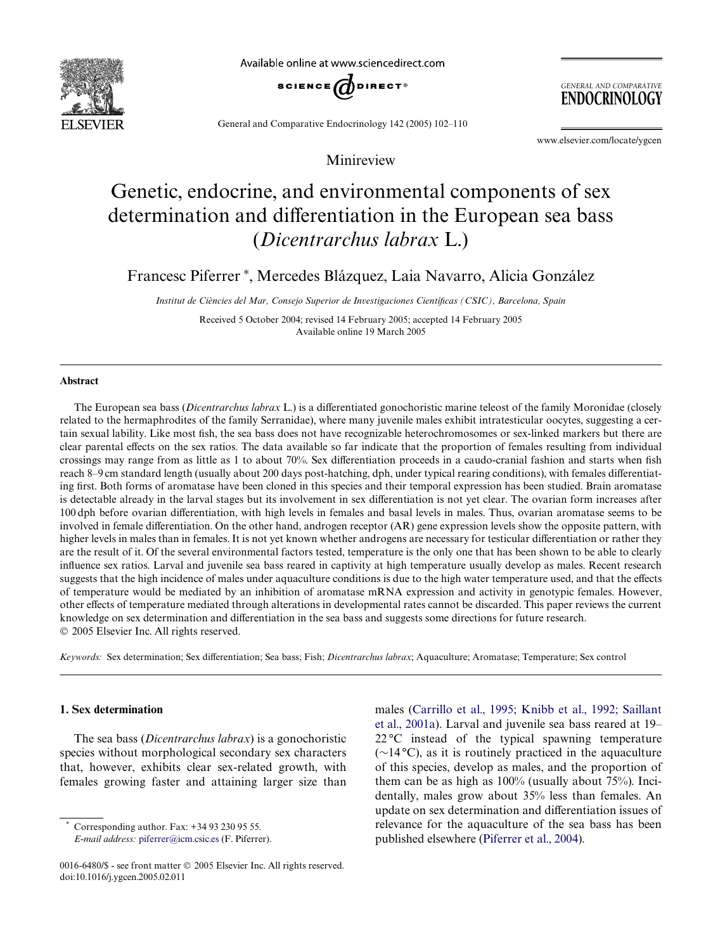

Available online at www.sciencedirect.com



**GENERAL AND COMPARATIVE ENDOCRINOLOGY** 

General and Comparative Endocrinology 142 (2005) 102–110

www.elsevier.com/locate/ygcen

# Genetic, endocrine, and environmental components of sex determination and differentiation in the European sea bass (*Dicentrarchus labrax* L.)

Minireview

Francesc Piferrer\*, Mercedes Blázquez, Laia Navarro, Alicia González

*Institut de Ciències del Mar, Consejo Superior de Investigaciones CientíWcas (CSIC), Barcelona, Spain*

Received 5 October 2004; revised 14 February 2005; accepted 14 February 2005 Available online 19 March 2005

### **Abstract**

The European sea bass (*Dicentrarchus labrax* L.) is a differentiated gonochoristic marine teleost of the family Moronidae (closely related to the hermaphrodites of the family Serranidae), where many juvenile males exhibit intratesticular oocytes, suggesting a certain sexual lability. Like most fish, the sea bass does not have recognizable heterochromosomes or sex-linked markers but there are clear parental effects on the sex ratios. The data available so far indicate that the proportion of females resulting from individual crossings may range from as little as 1 to about 70%. Sex differentiation proceeds in a caudo-cranial fashion and starts when fish reach 8–9 cm standard length (usually about 200 days post-hatching, dph, under typical rearing conditions), with females differentiating first. Both forms of aromatase have been cloned in this species and their temporal expression has been studied. Brain aromatase is detectable already in the larval stages but its involvement in sex differentiation is not yet clear. The ovarian form increases after 100 dph before ovarian differentiation, with high levels in females and basal levels in males. Thus, ovarian aromatase seems to be involved in female differentiation. On the other hand, androgen receptor (AR) gene expression levels show the opposite pattern, with higher levels in males than in females. It is not yet known whether androgens are necessary for testicular differentiation or rather they are the result of it. Of the several environmental factors tested, temperature is the only one that has been shown to be able to clearly influence sex ratios. Larval and juvenile sea bass reared in captivity at high temperature usually develop as males. Recent research suggests that the high incidence of males under aquaculture conditions is due to the high water temperature used, and that the effects of temperature would be mediated by an inhibition of aromatase mRNA expression and activity in genotypic females. However, other effects of temperature mediated through alterations in developmental rates cannot be discarded. This paper reviews the current knowledge on sex determination and differentiation in the sea bass and suggests some directions for future research. 2005 Elsevier Inc. All rights reserved.

*Keywords:* Sex determination; Sex differentiation; Sea bass; Fish; *Dicentrarchus labrax*; Aquaculture; Aromatase; Temperature; Sex control

# **1. Sex determination**

The sea bass (*Dicentrarchus labrax*) is a gonochoristic species without morphological secondary sex characters that, however, exhibits clear sex-related growth, with females growing faster and attaining larger size than

Corresponding author. Fax: +34 93 230 95 55.

*E-mail address:* [piferrer@icm.csic.es](mailto: piferrer@icm.csic.es) (F. Piferrer).

males ([Carrillo et al., 1995; Knibb et al., 1992; Saillant](#page-7-0) [et al., 2001a\)](#page-7-0). Larval and juvenile sea bass reared at 19– 22 °C instead of the typical spawning temperature  $(\sim 14 \degree C)$ , as it is routinely practiced in the aquaculture of this species, develop as males, and the proportion of them can be as high as 100% (usually about 75%). Incidentally, males grow about 35% less than females. An update on sex determination and differentiation issues of relevance for the aquaculture of the sea bass has been published elsewhere [\(Piferrer et al., 2004\)](#page-8-0).

<sup>0016-6480/\$ -</sup> see front matter  $\odot$  2005 Elsevier Inc. All rights reserved. doi:10.1016/j.ygcen.2005.02.011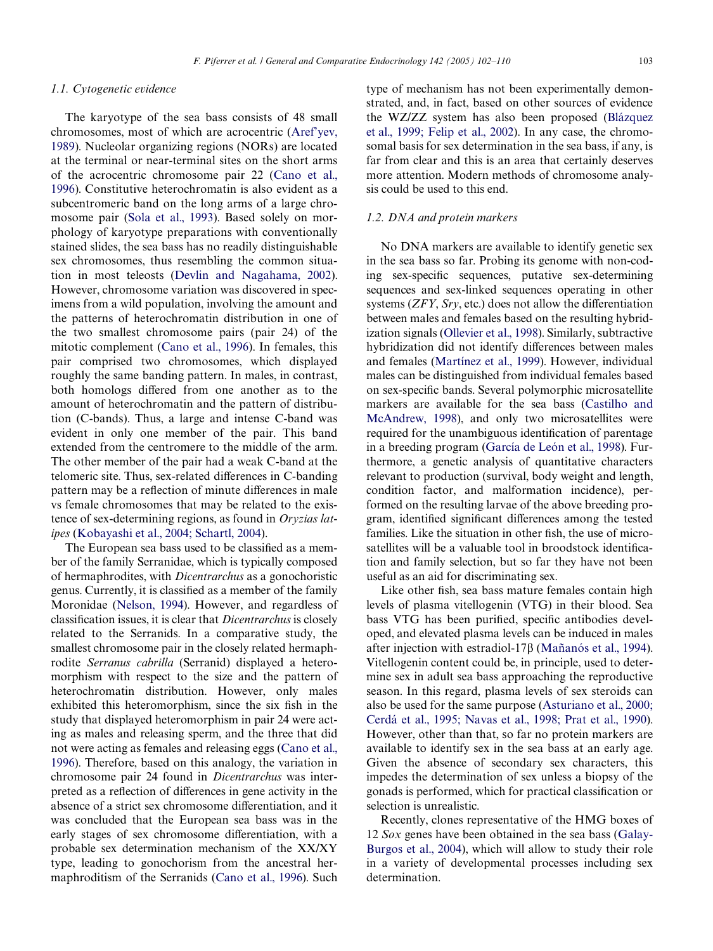## *1.1. Cytogenetic evidence*

The karyotype of the sea bass consists of 48 small chromosomes, most of which are acrocentric [\(Aref'yev,](#page-6-0) [1989\)](#page-6-0). Nucleolar organizing regions (NORs) are located at the terminal or near-terminal sites on the short arms of the acrocentric chromosome pair 22 ([Cano et al.,](#page-7-1) [1996\)](#page-7-1). Constitutive heterochromatin is also evident as a subcentromeric band on the long arms of a large chromosome pair ([Sola et al., 1993](#page-8-1)). Based solely on morphology of karyotype preparations with conventionally stained slides, the sea bass has no readily distinguishable sex chromosomes, thus resembling the common situation in most teleosts ([Devlin and Nagahama, 2002\)](#page-7-2). However, chromosome variation was discovered in specimens from a wild population, involving the amount and the patterns of heterochromatin distribution in one of the two smallest chromosome pairs (pair 24) of the mitotic complement ([Cano et al., 1996\)](#page-7-1). In females, this pair comprised two chromosomes, which displayed roughly the same banding pattern. In males, in contrast, both homologs differed from one another as to the amount of heterochromatin and the pattern of distribution (C-bands). Thus, a large and intense C-band was evident in only one member of the pair. This band extended from the centromere to the middle of the arm. The other member of the pair had a weak C-band at the telomeric site. Thus, sex-related differences in C-banding pattern may be a reflection of minute differences in male vs female chromosomes that may be related to the existence of sex-determining regions, as found in *Oryzias latipes* [\(Kobayashi et al., 2004; Schartl, 2004](#page-8-2)).

The European sea bass used to be classified as a member of the family Serranidae, which is typically composed of hermaphrodites, with *Dicentrarchus* as a gonochoristic genus. Currently, it is classified as a member of the family Moronidae [\(Nelson, 1994](#page-8-3)). However, and regardless of classification issues, it is clear that *Dicentrarchus* is closely related to the Serranids. In a comparative study, the smallest chromosome pair in the closely related hermaphrodite *Serranus cabrilla* (Serranid) displayed a heteromorphism with respect to the size and the pattern of heterochromatin distribution. However, only males exhibited this heteromorphism, since the six fish in the study that displayed heteromorphism in pair 24 were acting as males and releasing sperm, and the three that did not were acting as females and releasing eggs ([Cano et al.,](#page-7-1) [1996](#page-7-1)). Therefore, based on this analogy, the variation in chromosome pair 24 found in *Dicentrarchus* was interpreted as a reflection of differences in gene activity in the absence of a strict sex chromosome differentiation, and it was concluded that the European sea bass was in the early stages of sex chromosome differentiation, with a probable sex determination mechanism of the XX/XY type, leading to gonochorism from the ancestral hermaphroditism of the Serranids [\(Cano et al., 1996](#page-7-1)). Such

type of mechanism has not been experimentally demonstrated, and, in fact, based on other sources of evidence the WZ/ZZ system has also been proposed [\(Blázquez](#page-7-3) [et al., 1999; Felip et al., 2002\)](#page-7-3). In any case, the chromosomal basis for sex determination in the sea bass, if any, is far from clear and this is an area that certainly deserves more attention. Modern methods of chromosome analysis could be used to this end.

#### *1.2. DNA and protein markers*

No DNA markers are available to identify genetic sex in the sea bass so far. Probing its genome with non-coding sex-specific sequences, putative sex-determining sequences and sex-linked sequences operating in other systems (*ZFY*, *Sry*, etc.) does not allow the differentiation between males and females based on the resulting hybridization signals ([Ollevier et al., 1998](#page-8-4)). Similarly, subtractive hybridization did not identify differences between males and females [\(Martínez et al., 1999\)](#page-8-5). However, individual males can be distinguished from individual females based on sex-specific bands. Several polymorphic microsatellite markers are available for the sea bass ([Castilho and](#page-7-4) [McAndrew, 1998\)](#page-7-4), and only two microsatellites were required for the unambiguous identification of parentage in a breeding program ([García de León et al., 1998](#page-7-5)). Furthermore, a genetic analysis of quantitative characters relevant to production (survival, body weight and length, condition factor, and malformation incidence), performed on the resulting larvae of the above breeding program, identified significant differences among the tested families. Like the situation in other fish, the use of microsatellites will be a valuable tool in broodstock identification and family selection, but so far they have not been useful as an aid for discriminating sex.

Like other fish, sea bass mature females contain high levels of plasma vitellogenin (VTG) in their blood. Sea bass VTG has been purified, specific antibodies developed, and elevated plasma levels can be induced in males after injection with estradiol-17 $\beta$  ([Mañanós et al., 1994\)](#page-8-6). Vitellogenin content could be, in principle, used to determine sex in adult sea bass approaching the reproductive season. In this regard, plasma levels of sex steroids can also be used for the same purpose [\(Asturiano et al., 2000;](#page-6-1) [Cerdá et al., 1995; Navas et al., 1998; Prat et al., 1990\)](#page-6-1). However, other than that, so far no protein markers are available to identify sex in the sea bass at an early age. Given the absence of secondary sex characters, this impedes the determination of sex unless a biopsy of the gonads is performed, which for practical classification or selection is unrealistic.

Recently, clones representative of the HMG boxes of 12 *Sox* genes have been obtained in the sea bass [\(Galay-](#page-7-6)[Burgos et al., 2004\)](#page-7-6), which will allow to study their role in a variety of developmental processes including sex determination.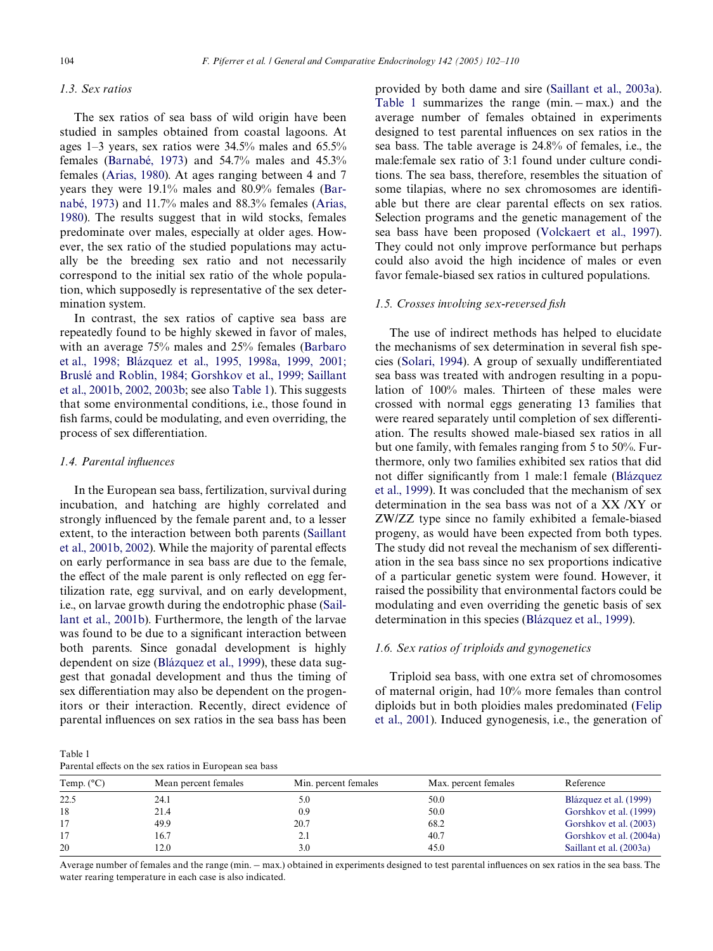# *1.3. Sex ratios*

The sex ratios of sea bass of wild origin have been studied in samples obtained from coastal lagoons. At ages 1–3 years, sex ratios were 34.5% males and 65.5% females [\(Barnabé, 1973](#page-7-10)) and 54.7% males and 45.3% females ([Arias, 1980](#page-6-2)). At ages ranging between 4 and 7 years they were 19.1% males and 80.9% females [\(Bar](#page-7-10)[nabé, 1973\)](#page-7-10) and 11.7% males and 88.3% females ([Arias,](#page-6-2) [1980\)](#page-6-2). The results suggest that in wild stocks, females predominate over males, especially at older ages. However, the sex ratio of the studied populations may actually be the breeding sex ratio and not necessarily correspond to the initial sex ratio of the whole population, which supposedly is representative of the sex determination system.

In contrast, the sex ratios of captive sea bass are repeatedly found to be highly skewed in favor of males, with an average 75% males and 25% females [\(Barbaro](#page-6-3) [et al., 1998; Blázquez et al., 1995, 1998a, 1999, 2001;](#page-6-3) Bruslé and Roblin, 1984; Gorshkov et al., 1999; Saillant [et al., 2001b, 2002, 2003b;](#page-6-3) see also [Table 1\)](#page-2-0). This suggests that some environmental conditions, i.e., those found in fish farms, could be modulating, and even overriding, the process of sex differentiation.

### *1.4. Parental inXuences*

In the European sea bass, fertilization, survival during incubation, and hatching are highly correlated and strongly influenced by the female parent and, to a lesser extent, to the interaction between both parents ([Saillant](#page-8-8) [et al., 2001b, 2002\)](#page-8-8). While the majority of parental effects on early performance in sea bass are due to the female, the effect of the male parent is only reflected on egg fertilization rate, egg survival, and on early development, i.e., on larvae growth during the endotrophic phase [\(Sail](#page-8-8)[lant et al., 2001b\)](#page-8-8). Furthermore, the length of the larvae was found to be due to a significant interaction between both parents. Since gonadal development is highly dependent on size ([Blázquez et al., 1999\)](#page-7-3), these data suggest that gonadal development and thus the timing of sex differentiation may also be dependent on the progenitors or their interaction. Recently, direct evidence of parental influences on sex ratios in the sea bass has been

provided by both dame and sire ([Saillant et al., 2003a](#page-8-7)). [Table 1](#page-2-0) summarizes the range  $(min - max.)$  and the average number of females obtained in experiments designed to test parental influences on sex ratios in the sea bass. The table average is 24.8% of females, i.e., the male:female sex ratio of 3:1 found under culture conditions. The sea bass, therefore, resembles the situation of some tilapias, where no sex chromosomes are identifiable but there are clear parental effects on sex ratios. Selection programs and the genetic management of the sea bass have been proposed [\(Volckaert et al., 1997](#page-8-9)). They could not only improve performance but perhaps could also avoid the high incidence of males or even favor female-biased sex ratios in cultured populations.

## *1.5. Crosses involving sex-reversed fish*

The use of indirect methods has helped to elucidate the mechanisms of sex determination in several fish spe-cies ([Solari, 1994\)](#page-8-10). A group of sexually undifferentiated sea bass was treated with androgen resulting in a population of 100% males. Thirteen of these males were crossed with normal eggs generating 13 families that were reared separately until completion of sex differentiation. The results showed male-biased sex ratios in all but one family, with females ranging from 5 to 50%. Furthermore, only two families exhibited sex ratios that did not differ significantly from 1 male:1 female [\(Blázquez](#page-7-3)) [et al., 1999](#page-7-3)). It was concluded that the mechanism of sex determination in the sea bass was not of a XX /XY or ZW/ZZ type since no family exhibited a female-biased progeny, as would have been expected from both types. The study did not reveal the mechanism of sex differentiation in the sea bass since no sex proportions indicative of a particular genetic system were found. However, it raised the possibility that environmental factors could be modulating and even overriding the genetic basis of sex determination in this species [\(Blázquez et al., 1999\)](#page-7-3).

# *1.6. Sex ratios of triploids and gynogenetics*

Triploid sea bass, with one extra set of chromosomes of maternal origin, had 10% more females than control diploids but in both ploidies males predominated ([Felip](#page-7-11) [et al., 2001\)](#page-7-11). Induced gynogenesis, i.e., the generation of

<span id="page-2-0"></span>

Parental effects on the sex ratios in European sea bass

| Temp. $(^{\circ}C)$ | Mean percent females | Min. percent females | Max. percent females | Reference               |
|---------------------|----------------------|----------------------|----------------------|-------------------------|
| 22.5                | 24.1                 | 5.0                  | 50.0                 | Blázquez et al. (1999)  |
| 18                  | 21.4                 | 0.9                  | 50.0                 | Gorshkov et al. (1999)  |
|                     | 49.9                 | 20.7                 | 68.2                 | Gorshkov et al. (2003)  |
| 17                  | 16.7                 | 2.1                  | 40.7                 | Gorshkov et al. (2004a) |
| 20                  | 12.0                 | 3.0                  | 45.0                 | Saillant et al. (2003a) |
|                     |                      |                      |                      |                         |

Average number of females and the range (min.  $-$  max.) obtained in experiments designed to test parental influences on sex ratios in the sea bass. The water rearing temperature in each case is also indicated.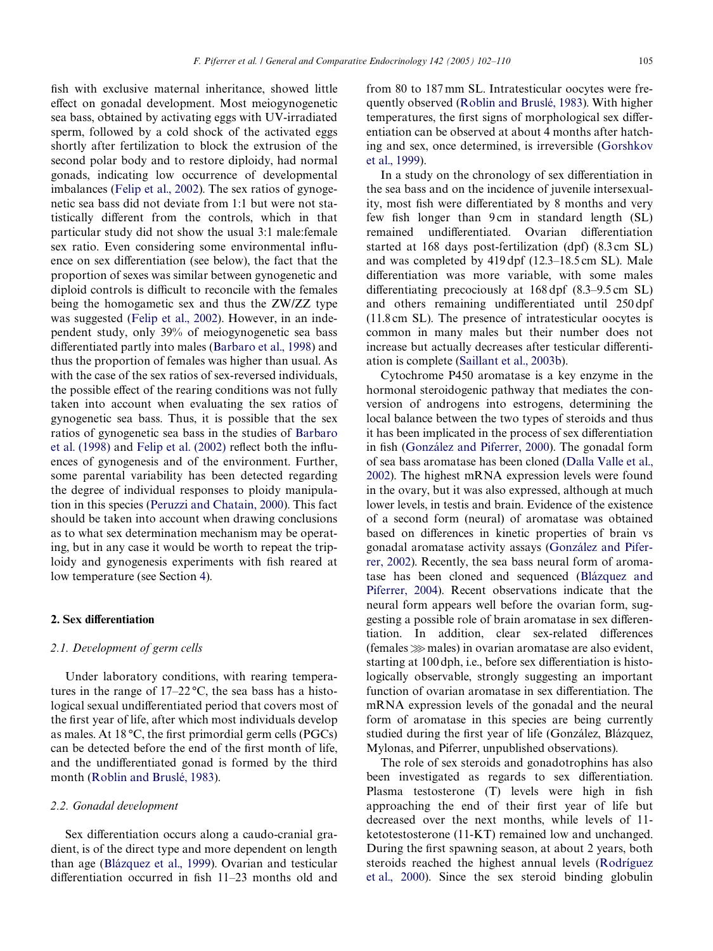fish with exclusive maternal inheritance, showed little effect on gonadal development. Most meiogynogenetic sea bass, obtained by activating eggs with UV-irradiated sperm, followed by a cold shock of the activated eggs shortly after fertilization to block the extrusion of the second polar body and to restore diploidy, had normal gonads, indicating low occurrence of developmental imbalances ([Felip et al., 2002\)](#page-7-12). The sex ratios of gynogenetic sea bass did not deviate from 1:1 but were not statistically different from the controls, which in that particular study did not show the usual 3:1 male:female sex ratio. Even considering some environmental influence on sex differentiation (see below), the fact that the proportion of sexes was similar between gynogenetic and diploid controls is difficult to reconcile with the females being the homogametic sex and thus the ZW/ZZ type was suggested ([Felip et al., 2002\)](#page-7-12). However, in an independent study, only 39% of meiogynogenetic sea bass differentiated partly into males [\(Barbaro et al., 1998](#page-6-3)) and thus the proportion of females was higher than usual. As with the case of the sex ratios of sex-reversed individuals, the possible effect of the rearing conditions was not fully taken into account when evaluating the sex ratios of gynogenetic sea bass. Thus, it is possible that the sex ratios of gynogenetic sea bass in the studies of [Barbaro](#page-6-3) et al.  $(1998)$  and Felip et al.  $(2002)$  reflect both the influences of gynogenesis and of the environment. Further, some parental variability has been detected regarding the degree of individual responses to ploidy manipulation in this species ([Peruzzi and Chatain, 2000\)](#page-8-11). This fact should be taken into account when drawing conclusions as to what sex determination mechanism may be operating, but in any case it would be worth to repeat the triploidy and gynogenesis experiments with fish reared at low temperature (see Section [4\)](#page-5-0).

# **2. Sex differentiation**

## *2.1. Development of germ cells*

Under laboratory conditions, with rearing temperatures in the range of  $17-22$  °C, the sea bass has a histological sexual undifferentiated period that covers most of the first year of life, after which most individuals develop as males. At 18  $\degree$ C, the first primordial germ cells (PGCs) can be detected before the end of the first month of life, and the undifferentiated gonad is formed by the third month [\(Roblin and Bruslé, 1983\)](#page-8-12).

## *2.2. Gonadal development*

Sex differentiation occurs along a caudo-cranial gradient, is of the direct type and more dependent on length than age ([Blázquez et al., 1999\)](#page-7-3). Ovarian and testicular differentiation occurred in fish  $11-23$  months old and

from 80 to 187 mm SL. Intratesticular oocytes were frequently observed [\(Roblin and Bruslé, 1983\)](#page-8-12). With higher temperatures, the first signs of morphological sex differentiation can be observed at about 4 months after hatching and sex, once determined, is irreversible [\(Gorshkov](#page-7-7) [et al., 1999\)](#page-7-7).

In a study on the chronology of sex differentiation in the sea bass and on the incidence of juvenile intersexuality, most fish were differentiated by 8 months and very few fish longer than 9 cm in standard length (SL) remained undifferentiated. Ovarian differentiation started at 168 days post-fertilization (dpf) (8.3 cm SL) and was completed by 419 dpf (12.3–18.5 cm SL). Male differentiation was more variable, with some males differentiating precociously at  $168 \text{ dpf } (8.3-9.5 \text{ cm } SL)$ and others remaining undifferentiated until 250 dpf (11.8 cm SL). The presence of intratesticular oocytes is common in many males but their number does not increase but actually decreases after testicular differentiation is complete ([Saillant et al., 2003b\)](#page-8-13).

Cytochrome P450 aromatase is a key enzyme in the hormonal steroidogenic pathway that mediates the conversion of androgens into estrogens, determining the local balance between the two types of steroids and thus it has been implicated in the process of sex differentiation in fish ([González and Piferrer, 2000\)](#page-7-13). The gonadal form of sea bass aromatase has been cloned [\(Dalla Valle et al.,](#page-7-14) [2002\)](#page-7-14). The highest mRNA expression levels were found in the ovary, but it was also expressed, although at much lower levels, in testis and brain. Evidence of the existence of a second form (neural) of aromatase was obtained based on differences in kinetic properties of brain vs gonadal aromatase activity assays [\(González and Pifer](#page-7-15)[rer, 2002](#page-7-15)). Recently, the sea bass neural form of aromatase has been cloned and sequenced ([Blázquez and](#page-7-16) [Piferrer, 2004\)](#page-7-16). Recent observations indicate that the neural form appears well before the ovarian form, suggesting a possible role of brain aromatase in sex differentiation. In addition, clear sex-related differences  $(females \gg males)$  in ovarian aromatase are also evident, starting at 100 dph, i.e., before sex differentiation is histologically observable, strongly suggesting an important function of ovarian aromatase in sex differentiation. The mRNA expression levels of the gonadal and the neural form of aromatase in this species are being currently studied during the first year of life (González, Blázquez, Mylonas, and Piferrer, unpublished observations).

The role of sex steroids and gonadotrophins has also been investigated as regards to sex differentiation. Plasma testosterone  $(T)$  levels were high in fish approaching the end of their first year of life but decreased over the next months, while levels of 11 ketotestosterone (11-KT) remained low and unchanged. During the first spawning season, at about 2 years, both steroids reached the highest annual levels ([Rodríguez](#page-8-14) [et al., 2000\)](#page-8-14). Since the sex steroid binding globulin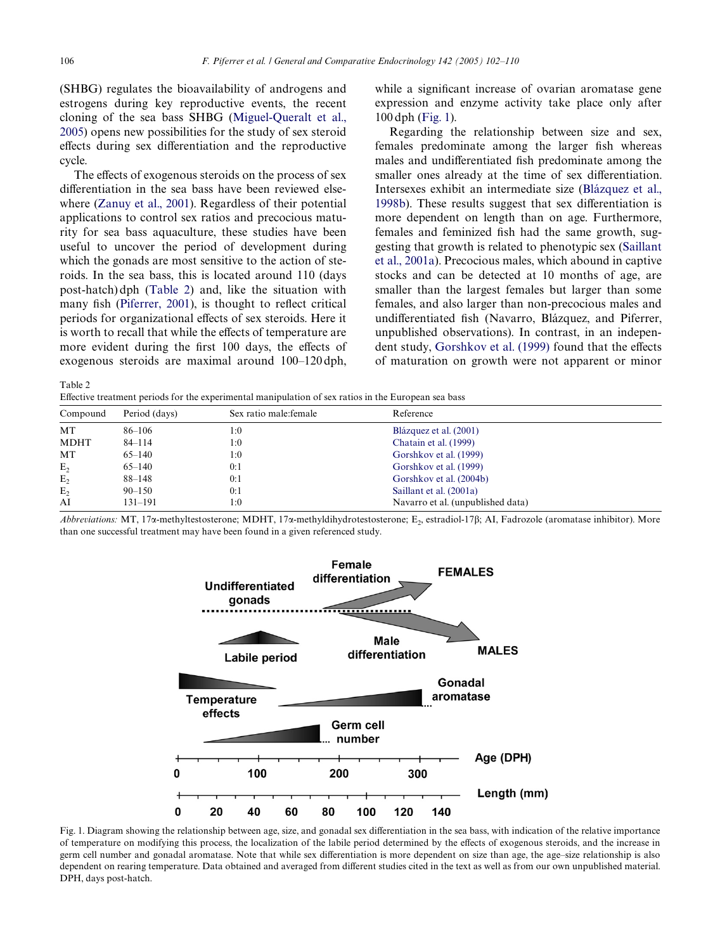(SHBG) regulates the bioavailability of androgens and estrogens during key reproductive events, the recent cloning of the sea bass SHBG [\(Miguel-Queralt et al.,](#page-8-16) [2005\)](#page-8-16) opens new possibilities for the study of sex steroid effects during sex differentiation and the reproductive cycle.

The effects of exogenous steroids on the process of sex differentiation in the sea bass have been reviewed elsewhere ([Zanuy et al., 2001\)](#page-8-17). Regardless of their potential applications to control sex ratios and precocious maturity for sea bass aquaculture, these studies have been useful to uncover the period of development during which the gonads are most sensitive to the action of steroids. In the sea bass, this is located around 110 (days post-hatch) dph ([Table 2\)](#page-4-0) and, like the situation with many fish [\(Piferrer, 2001\)](#page-8-18), is thought to reflect critical periods for organizational effects of sex steroids. Here it is worth to recall that while the effects of temperature are more evident during the first 100 days, the effects of exogenous steroids are maximal around 100–120 dph,

while a significant increase of ovarian aromatase gene expression and enzyme activity take place only after 100 dph [\(Fig. 1](#page-4-1)).

Regarding the relationship between size and sex, females predominate among the larger fish whereas males and undifferentiated fish predominate among the smaller ones already at the time of sex differentiation. Intersexes exhibit an intermediate size ([Blázquez et al.,](#page-7-20) [1998b\)](#page-7-20). These results suggest that sex differentiation is more dependent on length than on age. Furthermore, females and feminized fish had the same growth, suggesting that growth is related to phenotypic sex [\(Saillant](#page-8-15) [et al., 2001a](#page-8-15)). Precocious males, which abound in captive stocks and can be detected at 10 months of age, are smaller than the largest females but larger than some females, and also larger than non-precocious males and undifferentiated fish (Navarro, Blázquez, and Piferrer, unpublished observations). In contrast, in an indepen-dent study, [Gorshkov et al. \(1999\)](#page-7-7) found that the effects of maturation on growth were not apparent or minor

<span id="page-4-0"></span>Table 2

Effective treatment periods for the experimental manipulation of sex ratios in the European sea bass

| Compound       | Period (days) | Sex ratio male: female | Reference                         |  |
|----------------|---------------|------------------------|-----------------------------------|--|
| MT             | 86-106        | 1:0                    | Blázquez et al. (2001)            |  |
| <b>MDHT</b>    | $84 - 114$    | 1:0                    | Chatain et al. (1999)             |  |
| MT             | $65 - 140$    | 1:0                    | Gorshkov et al. (1999)            |  |
| E <sub>2</sub> | $65 - 140$    | 0:1                    | Gorshkov et al. (1999)            |  |
| $E_{2}$        | 88–148        | 0:1                    | Gorshkov et al. (2004b)           |  |
| E <sub>2</sub> | $90 - 150$    | 0:1                    | Saillant et al. (2001a)           |  |
| AI             | $131 - 191$   | l:0                    | Navarro et al. (unpublished data) |  |

*Abbreviations:* MT, 17α-methyltestosterone; MDHT, 17α-methyldihydrotestosterone; E<sub>2</sub>, estradiol-17β; AI, Fadrozole (aromatase inhibitor). More than one successful treatment may have been found in a given referenced study.



<span id="page-4-1"></span>Fig. 1. Diagram showing the relationship between age, size, and gonadal sex differentiation in the sea bass, with indication of the relative importance of temperature on modifying this process, the localization of the labile period determined by the effects of exogenous steroids, and the increase in germ cell number and gonadal aromatase. Note that while sex differentiation is more dependent on size than age, the age-size relationship is also dependent on rearing temperature. Data obtained and averaged from different studies cited in the text as well as from our own unpublished material. DPH, days post-hatch.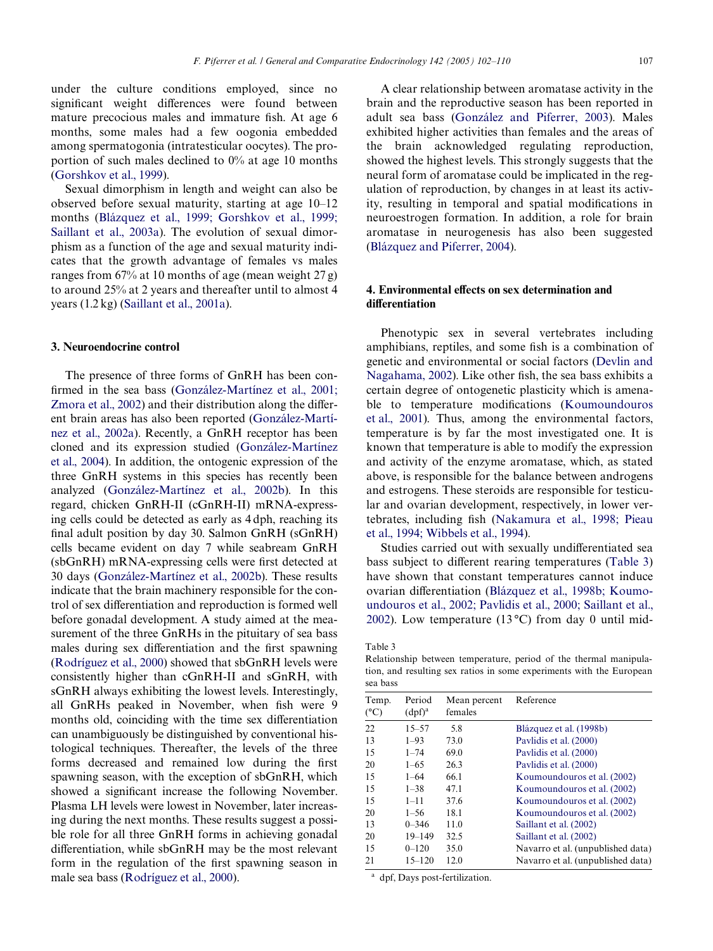under the culture conditions employed, since no significant weight differences were found between mature precocious males and immature fish. At age 6 months, some males had a few oogonia embedded among spermatogonia (intratesticular oocytes). The proportion of such males declined to 0% at age 10 months ([Gorshkov et al., 1999\)](#page-7-7).

Sexual dimorphism in length and weight can also be observed before sexual maturity, starting at age 10–12 months ([Blázquez et al., 1999; Gorshkov et al., 1999;](#page-7-3) [Saillant et al., 2003a](#page-7-3)). The evolution of sexual dimorphism as a function of the age and sexual maturity indicates that the growth advantage of females vs males ranges from  $67\%$  at 10 months of age (mean weight  $27$  g) to around 25% at 2 years and thereafter until to almost 4 years (1.2 kg) ([Saillant et al., 2001a](#page-8-15)).

### **3. Neuroendocrine control**

The presence of three forms of GnRH has been con-firmed in the sea bass [\(González-Martínez et al., 2001;](#page-7-21) [Zmora et al., 2002\)](#page-7-21) and their distribution along the different brain areas has also been reported [\(González-Martí](#page-7-22)[nez et al., 2002a](#page-7-22)). Recently, a GnRH receptor has been cloned and its expression studied ([González-Martínez](#page-7-23) [et al., 2004](#page-7-23)). In addition, the ontogenic expression of the three GnRH systems in this species has recently been analyzed ([González-Martínez et al., 2002b\)](#page-7-24). In this regard, chicken GnRH-II (cGnRH-II) mRNA-expressing cells could be detected as early as 4 dph, reaching its final adult position by day 30. Salmon GnRH (sGnRH) cells became evident on day 7 while seabream GnRH  $(sbGnRH)$  mRNA-expressing cells were first detected at 30 days ([González-Martínez et al., 2002b](#page-7-24)). These results indicate that the brain machinery responsible for the control of sex differentiation and reproduction is formed well before gonadal development. A study aimed at the measurement of the three GnRHs in the pituitary of sea bass males during sex differentiation and the first spawning ([Rodríguez et al., 2000](#page-8-14)) showed that sbGnRH levels were consistently higher than cGnRH-II and sGnRH, with sGnRH always exhibiting the lowest levels. Interestingly, all GnRHs peaked in November, when fish were 9 months old, coinciding with the time sex differentiation can unambiguously be distinguished by conventional histological techniques. Thereafter, the levels of the three forms decreased and remained low during the first spawning season, with the exception of sbGnRH, which showed a significant increase the following November. Plasma LH levels were lowest in November, later increasing during the next months. These results suggest a possible role for all three GnRH forms in achieving gonadal differentiation, while  $s$ b $GnRH$  may be the most relevant form in the regulation of the first spawning season in male sea bass [\(Rodríguez et al., 2000\)](#page-8-14).

A clear relationship between aromatase activity in the brain and the reproductive season has been reported in adult sea bass [\(González and Piferrer, 2003](#page-7-25)). Males exhibited higher activities than females and the areas of the brain acknowledged regulating reproduction, showed the highest levels. This strongly suggests that the neural form of aromatase could be implicated in the regulation of reproduction, by changes in at least its activity, resulting in temporal and spatial modifications in neuroestrogen formation. In addition, a role for brain aromatase in neurogenesis has also been suggested [\(Blázquez and Piferrer, 2004\)](#page-7-16).

# <span id="page-5-0"></span>**4. Environmental effects on sex determination and diVerentiation**

Phenotypic sex in several vertebrates including amphibians, reptiles, and some fish is a combination of genetic and environmental or social factors ([Devlin and](#page-7-2) [Nagahama, 2002\)](#page-7-2). Like other fish, the sea bass exhibits a certain degree of ontogenetic plasticity which is amena-ble to temperature modifications ([Koumoundouros](#page-8-22) [et al., 2001\)](#page-8-22). Thus, among the environmental factors, temperature is by far the most investigated one. It is known that temperature is able to modify the expression and activity of the enzyme aromatase, which, as stated above, is responsible for the balance between androgens and estrogens. These steroids are responsible for testicular and ovarian development, respectively, in lower ver-tebrates, including fish ([Nakamura et al., 1998; Pieau](#page-8-23) [et al., 1994; Wibbels et al., 1994\)](#page-8-23).

Studies carried out with sexually undifferentiated sea bass subject to different rearing temperatures [\(Table 3](#page-5-1)) have shown that constant temperatures cannot induce ovarian differentiation ([Blázquez et al., 1998b; Koumo](#page-7-20)[undouros et al., 2002; Pavlidis et al., 2000; Saillant et al.,](#page-7-20) [2002\)](#page-7-20). Low temperature (13 °C) from day 0 until mid-

<span id="page-5-1"></span>Table 3

Relationship between temperature, period of the thermal manipulation, and resulting sex ratios in some experiments with the European sea bass

| Temp.<br>$(^{\circ}C)$ | Period<br>(dpf) <sup>a</sup> | Mean percent<br>females | Reference                         |
|------------------------|------------------------------|-------------------------|-----------------------------------|
| 22                     | $15 - 57$                    | 5.8                     | Blázquez et al. (1998b)           |
| 13                     | $1 - 93$                     | 73.0                    | Paylidis et al. (2000)            |
| 15                     | $1 - 74$                     | 69.0                    | Paylidis et al. (2000)            |
| 20                     | $1 - 65$                     | 26.3                    | Paylidis et al. (2000)            |
| 15                     | $1 - 64$                     | 66.1                    | Koumoundouros et al. (2002)       |
| 15                     | $1 - 38$                     | 47.1                    | Koumoundouros et al. (2002)       |
| 15                     | $1 - 11$                     | 37.6                    | Koumoundouros et al. (2002)       |
| 20                     | $1 - 56$                     | 18.1                    | Koumoundouros et al. (2002)       |
| 13                     | $0 - 346$                    | 11.0                    | Saillant et al. (2002)            |
| 20                     | $19 - 149$                   | 32.5                    | Saillant et al. (2002)            |
| 15                     | $0 - 120$                    | 35.0                    | Navarro et al. (unpublished data) |
| 21                     | $15 - 120$                   | 12.0                    | Navarro et al. (unpublished data) |

<sup>a</sup> dpf, Days post-fertilization.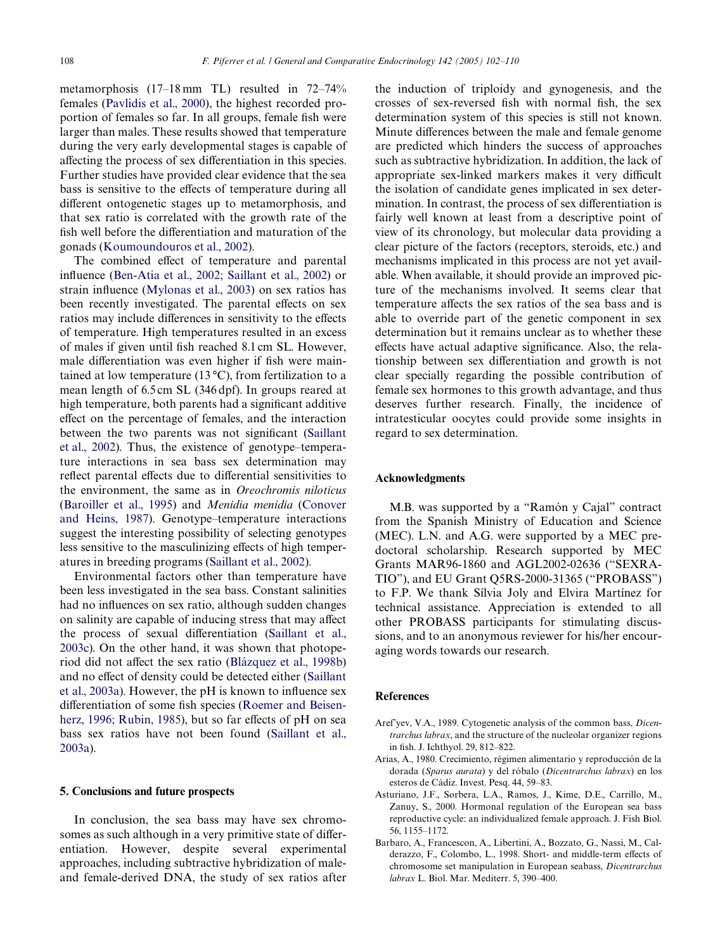metamorphosis (17–18 mm TL) resulted in 72–74% females [\(Pavlidis et al., 2000](#page-8-19)), the highest recorded proportion of females so far. In all groups, female fish were larger than males. These results showed that temperature during the very early developmental stages is capable of affecting the process of sex differentiation in this species. Further studies have provided clear evidence that the sea bass is sensitive to the effects of temperature during all different ontogenetic stages up to metamorphosis, and that sex ratio is correlated with the growth rate of the fish well before the differentiation and maturation of the gonads [\(Koumoundouros et al., 2002](#page-8-20)).

The combined effect of temperature and parental influence ([Ben-Atia et al., 2002; Saillant et al., 2002](#page-7-26)) or strain influence [\(Mylonas et al., 2003\)](#page-8-24) on sex ratios has been recently investigated. The parental effects on sex ratios may include differences in sensitivity to the effects of temperature. High temperatures resulted in an excess of males if given until fish reached 8.1 cm SL. However, male differentiation was even higher if fish were maintained at low temperature  $(13^{\circ}C)$ , from fertilization to a mean length of 6.5 cm SL (346 dpf). In groups reared at high temperature, both parents had a significant additive effect on the percentage of females, and the interaction between the two parents was not significant ([Saillant](#page-8-21) [et al., 2002](#page-8-21)). Thus, the existence of genotype–temperature interactions in sea bass sex determination may reflect parental effects due to differential sensitivities to the environment, the same as in *Oreochromis niloticus* [\(Baroiller et al., 1995](#page-7-27)) and *Menidia menidia* [\(Conover](#page-7-28) [and Heins, 1987](#page-7-28)). Genotype–temperature interactions suggest the interesting possibility of selecting genotypes less sensitive to the masculinizing effects of high temperatures in breeding programs [\(Saillant et al., 2002\)](#page-8-21).

Environmental factors other than temperature have been less investigated in the sea bass. Constant salinities had no influences on sex ratio, although sudden changes on salinity are capable of inducing stress that may affect the process of sexual differentiation ([Saillant et al.,](#page-8-25) [2003c](#page-8-25)). On the other hand, it was shown that photope-riod did not affect the sex ratio [\(Blázquez et al., 1998b\)](#page-7-20) and no effect of density could be detected either ([Saillant](#page-8-7) et al.,  $2003a$ ). However, the pH is known to influence sex differentiation of some fish species ([Roemer and Beisen](#page-8-26)[herz, 1996; Rubin, 1985](#page-8-26)), but so far effects of pH on sea bass sex ratios have not been found [\(Saillant et al.,](#page-8-7) [2003a\)](#page-8-7).

## **5. Conclusions and future prospects**

In conclusion, the sea bass may have sex chromosomes as such although in a very primitive state of differentiation. However, despite several experimental approaches, including subtractive hybridization of maleand female-derived DNA, the study of sex ratios after the induction of triploidy and gynogenesis, and the crosses of sex-reversed fish with normal fish, the sex determination system of this species is still not known. Minute differences between the male and female genome are predicted which hinders the success of approaches such as subtractive hybridization. In addition, the lack of appropriate sex-linked markers makes it very difficult the isolation of candidate genes implicated in sex determination. In contrast, the process of sex differentiation is fairly well known at least from a descriptive point of view of its chronology, but molecular data providing a clear picture of the factors (receptors, steroids, etc.) and mechanisms implicated in this process are not yet available. When available, it should provide an improved picture of the mechanisms involved. It seems clear that temperature affects the sex ratios of the sea bass and is able to override part of the genetic component in sex determination but it remains unclear as to whether these effects have actual adaptive significance. Also, the relationship between sex differentiation and growth is not clear specially regarding the possible contribution of female sex hormones to this growth advantage, and thus deserves further research. Finally, the incidence of intratesticular oocytes could provide some insights in regard to sex determination.

# **Acknowledgments**

M.B. was supported by a "Ramón y Cajal" contract from the Spanish Ministry of Education and Science (MEC). L.N. and A.G. were supported by a MEC predoctoral scholarship. Research supported by MEC Grants MAR96-1860 and AGL2002-02636 ("SEXRA-TIO"), and EU Grant Q5RS-2000-31365 ("PROBASS") to F.P. We thank Sílvia Joly and Elvira Martínez for technical assistance. Appreciation is extended to all other PROBASS participants for stimulating discussions, and to an anonymous reviewer for his/her encouraging words towards our research.

## **References**

- <span id="page-6-0"></span>Aref'yev, V.A., 1989. Cytogenetic analysis of the common bass, *Dicentrarchus labrax*, and the structure of the nucleolar organizer regions in fish. J. Ichthyol. 29, 812-822.
- <span id="page-6-2"></span>Arias, A., 1980. Crecimiento, régimen alimentario y reproducción de la dorada (*Sparus aurata*) y del róbalo (*Dicentrarchus labrax*) en los esteros de Cádiz. Invest. Pesq. 44, 59–83.
- <span id="page-6-1"></span>Asturiano, J.F., Sorbera, L.A., Ramos, J., Kime, D.E., Carrillo, M., Zanuy, S., 2000. Hormonal regulation of the European sea bass reproductive cycle: an individualized female approach. J. Fish Biol. 56, 1155–1172.
- <span id="page-6-3"></span>Barbaro, A., Francescon, A., Libertini, A., Bozzato, G., Nassi, M., Calderazzo, F., Colombo, L., 1998. Short- and middle-term effects of chromosome set manipulation in European seabass, *Dicentrarchus labrax* L. Biol. Mar. Mediterr. 5, 390–400.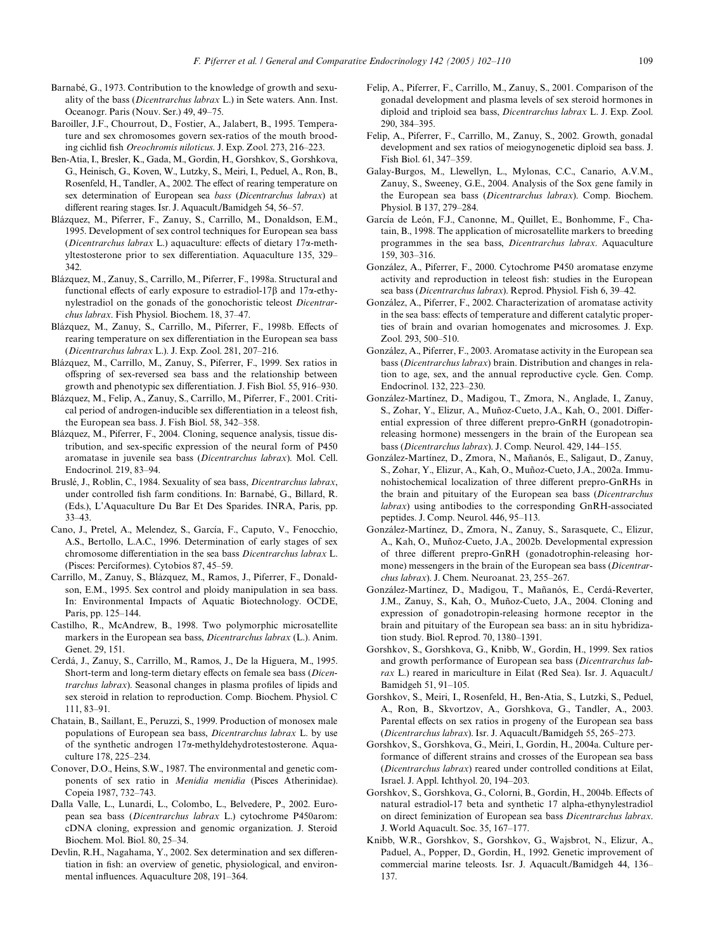- <span id="page-7-10"></span>Barnabé, G., 1973. Contribution to the knowledge of growth and sexuality of the bass (*Dicentrarchus labrax* L.) in Sete waters. Ann. Inst. Oceanogr. Paris (Nouv. Ser.) 49, 49–75.
- <span id="page-7-27"></span>Baroiller, J.F., Chourrout, D., Fostier, A., Jalabert, B., 1995. Temperature and sex chromosomes govern sex-ratios of the mouth brooding cichlid fish *Oreochromis niloticus*. J. Exp. Zool. 273, 216–223.
- <span id="page-7-26"></span>Ben-Atia, I., Bresler, K., Gada, M., Gordin, H., Gorshkov, S., Gorshkova, G., Heinisch, G., Koven, W., Lutzky, S., Meiri, I., Peduel, A., Ron, B., Rosenfeld, H., Tandler, A., 2002. The effect of rearing temperature on sex determination of European sea *bass* (*Dicentrarchus labrax*) at different rearing stages. Isr. J. Aquacult./Bamidgeh 54, 56-57.
- Blázquez, M., Piferrer, F., Zanuy, S., Carrillo, M., Donaldson, E.M., 1995. Development of sex control techniques for European sea bass (Dicentrarchus labrax L.) aquaculture: effects of dietary 17a-methyltestosterone prior to sex differentiation. Aquaculture 135, 329– 342.
- Blázquez, M., Zanuy, S., Carrillo, M., Piferrer, F., 1998a. Structural and functional effects of early exposure to estradiol-17 $\beta$  and 17 $\alpha$ -ethynylestradiol on the gonads of the gonochoristic teleost *Dicentrarchus labrax*. Fish Physiol. Biochem. 18, 37–47.
- <span id="page-7-20"></span>Blázquez, M., Zanuy, S., Carrillo, M., Piferrer, F., 1998b. Effects of rearing temperature on sex differentiation in the European sea bass (*Dicentrarchus labrax* L.). J. Exp. Zool. 281, 207–216.
- <span id="page-7-3"></span>Blázquez, M., Carrillo, M., Zanuy, S., Piferrer, F., 1999. Sex ratios in offspring of sex-reversed sea bass and the relationship between growth and phenotypic sex differentiation. J. Fish Biol. 55, 916–930.
- <span id="page-7-17"></span>Blázquez, M., Felip, A., Zanuy, S., Carrillo, M., Piferrer, F., 2001. Critical period of androgen-inducible sex differentiation in a teleost fish, the European sea bass. J. Fish Biol. 58, 342–358.
- <span id="page-7-16"></span>Blázquez, M., Piferrer, F., 2004. Cloning, sequence analysis, tissue distribution, and sex-specific expression of the neural form of P450 aromatase in juvenile sea bass (*Dicentrarchus labrax*). Mol. Cell. Endocrinol. 219, 83–94.
- Bruslé, J., Roblin, C., 1984. Sexuality of sea bass, *Dicentrarchus labrax*, under controlled fish farm conditions. In: Barnabé, G., Billard, R. (Eds.), L'Aquaculture Du Bar Et Des Sparides. INRA, Paris, pp. 33–43.
- <span id="page-7-1"></span>Cano, J., Pretel, A., Melendez, S., García, F., Caputo, V., Fenocchio, A.S., Bertollo, L.A.C., 1996. Determination of early stages of sex chromosome differentiation in the sea bass *Dicentrarchus labrax* L. (Pisces: Perciformes). Cytobios 87, 45–59.
- <span id="page-7-0"></span>Carrillo, M., Zanuy, S., Blázquez, M., Ramos, J., Piferrer, F., Donaldson, E.M., 1995. Sex control and ploidy manipulation in sea bass. In: Environmental Impacts of Aquatic Biotechnology. OCDE, Paris, pp. 125–144.
- <span id="page-7-4"></span>Castilho, R., McAndrew, B., 1998. Two polymorphic microsatellite markers in the European sea bass, *Dicentrarchus labrax* (L.). Anim. Genet. 29, 151.
- Cerdá, J., Zanuy, S., Carrillo, M., Ramos, J., De la Higuera, M., 1995. Short-term and long-term dietary effects on female sea bass (*Dicentrarchus labrax*). Seasonal changes in plasma profiles of lipids and sex steroid in relation to reproduction. Comp. Biochem. Physiol. C 111, 83–91.
- <span id="page-7-18"></span>Chatain, B., Saillant, E., Peruzzi, S., 1999. Production of monosex male populations of European sea bass, *Dicentrarchus labrax* L. by use of the synthetic androgen 17<sub>x</sub>-methyldehydrotestosterone. Aquaculture 178, 225–234.
- <span id="page-7-28"></span>Conover, D.O., Heins, S.W., 1987. The environmental and genetic components of sex ratio in *Menidia menidia* (Pisces Atherinidae). Copeia 1987, 732–743.
- <span id="page-7-14"></span>Dalla Valle, L., Lunardi, L., Colombo, L., Belvedere, P., 2002. European sea bass (*Dicentrarchus labrax* L.) cytochrome P450arom: cDNA cloning, expression and genomic organization. J. Steroid Biochem. Mol. Biol. 80, 25–34.
- <span id="page-7-2"></span>Devlin, R.H., Nagahama, Y., 2002. Sex determination and sex differentiation in fish: an overview of genetic, physiological, and environmental influences. Aquaculture 208, 191-364.
- <span id="page-7-11"></span>Felip, A., Piferrer, F., Carrillo, M., Zanuy, S., 2001. Comparison of the gonadal development and plasma levels of sex steroid hormones in diploid and triploid sea bass, *Dicentrarchus labrax* L. J. Exp. Zool. 290, 384–395.
- <span id="page-7-12"></span>Felip, A., Piferrer, F., Carrillo, M., Zanuy, S., 2002. Growth, gonadal development and sex ratios of meiogynogenetic diploid sea bass. J. Fish Biol. 61, 347–359.
- <span id="page-7-6"></span>Galay-Burgos, M., Llewellyn, L., Mylonas, C.C., Canario, A.V.M., Zanuy, S., Sweeney, G.E., 2004. Analysis of the Sox gene family in the European sea bass (*Dicentrarchus labrax*). Comp. Biochem. Physiol. B 137, 279–284.
- <span id="page-7-5"></span>García de León, F.J., Canonne, M., Quillet, E., Bonhomme, F., Chatain, B., 1998. The application of microsatellite markers to breeding programmes in the sea bass, *Dicentrarchus labrax*. Aquaculture 159, 303–316.
- <span id="page-7-13"></span>González, A., Piferrer, F., 2000. Cytochrome P450 aromatase enzyme activity and reproduction in teleost fish: studies in the European sea bass (*Dicentrarchus labrax*). Reprod. Physiol. Fish 6, 39–42.
- <span id="page-7-15"></span>González, A., Piferrer, F., 2002. Characterization of aromatase activity in the sea bass: effects of temperature and different catalytic properties of brain and ovarian homogenates and microsomes. J. Exp. Zool. 293, 500–510.
- <span id="page-7-25"></span>González, A., Piferrer, F., 2003. Aromatase activity in the European sea bass (*Dicentrarchus labrax*) brain. Distribution and changes in relation to age, sex, and the annual reproductive cycle. Gen. Comp. Endocrinol. 132, 223–230.
- <span id="page-7-21"></span>González-Martínez, D., Madigou, T., Zmora, N., Anglade, I., Zanuy, S., Zohar, Y., Elizur, A., Muñoz-Cueto, J.A., Kah, O., 2001. Differential expression of three different prepro-GnRH (gonadotropinreleasing hormone) messengers in the brain of the European sea bass (*Dicentrarchus labrax*). J. Comp. Neurol. 429, 144–155.
- <span id="page-7-22"></span>González-Martínez, D., Zmora, N., Mañanós, E., Saligaut, D., Zanuy, S., Zohar, Y., Elizur, A., Kah, O., Muñoz-Cueto, J.A., 2002a. Immunohistochemical localization of three different prepro-GnRHs in the brain and pituitary of the European sea bass (*Dicentrarchus labrax*) using antibodies to the corresponding GnRH-associated peptides. J. Comp. Neurol. 446, 95–113.
- <span id="page-7-24"></span>González-Martínez, D., Zmora, N., Zanuy, S., Sarasquete, C., Elizur, A., Kah, O., Muñoz-Cueto, J.A., 2002b. Developmental expression of three different prepro-GnRH (gonadotrophin-releasing hormone) messengers in the brain of the European sea bass (*Dicentrarchus labrax*). J. Chem. Neuroanat. 23, 255–267.
- <span id="page-7-23"></span>González-Martínez, D., Madigou, T., Mañanós, E., Cerdá-Reverter, J.M., Zanuy, S., Kah, O., Muñoz-Cueto, J.A., 2004. Cloning and expression of gonadotropin-releasing hormone receptor in the brain and pituitary of the European sea bass: an in situ hybridization study. Biol. Reprod. 70, 1380–1391.
- <span id="page-7-7"></span>Gorshkov, S., Gorshkova, G., Knibb, W., Gordin, H., 1999. Sex ratios and growth performance of European sea bass (*Dicentrarchus labrax* L.) reared in mariculture in Eilat (Red Sea). Isr. J. Aquacult./ Bamidgeh 51, 91–105.
- <span id="page-7-8"></span>Gorshkov, S., Meiri, I., Rosenfeld, H., Ben-Atia, S., Lutzki, S., Peduel, A., Ron, B., Skvortzov, A., Gorshkova, G., Tandler, A., 2003. Parental effects on sex ratios in progeny of the European sea bass (*Dicentrarchus labrax*). Isr. J. Aquacult./Bamidgeh 55, 265–273.
- <span id="page-7-9"></span>Gorshkov, S., Gorshkova, G., Meiri, I., Gordin, H., 2004a. Culture performance of different strains and crosses of the European sea bass (*Dicentrarchus labrax*) reared under controlled conditions at Eilat, Israel. J. Appl. Ichthyol. 20, 194–203.
- <span id="page-7-19"></span>Gorshkov, S., Gorshkova, G., Colorni, B., Gordin, H., 2004b. Effects of natural estradiol-17 beta and synthetic 17 alpha-ethynylestradiol on direct feminization of European sea bass *Dicentrarchus labrax*. J. World Aquacult. Soc. 35, 167–177.
- Knibb, W.R., Gorshkov, S., Gorshkov, G., Wajsbrot, N., Elizur, A., Paduel, A., Popper, D., Gordin, H., 1992. Genetic improvement of commercial marine teleosts. Isr. J. Aquacult./Bamidgeh 44, 136– 137.